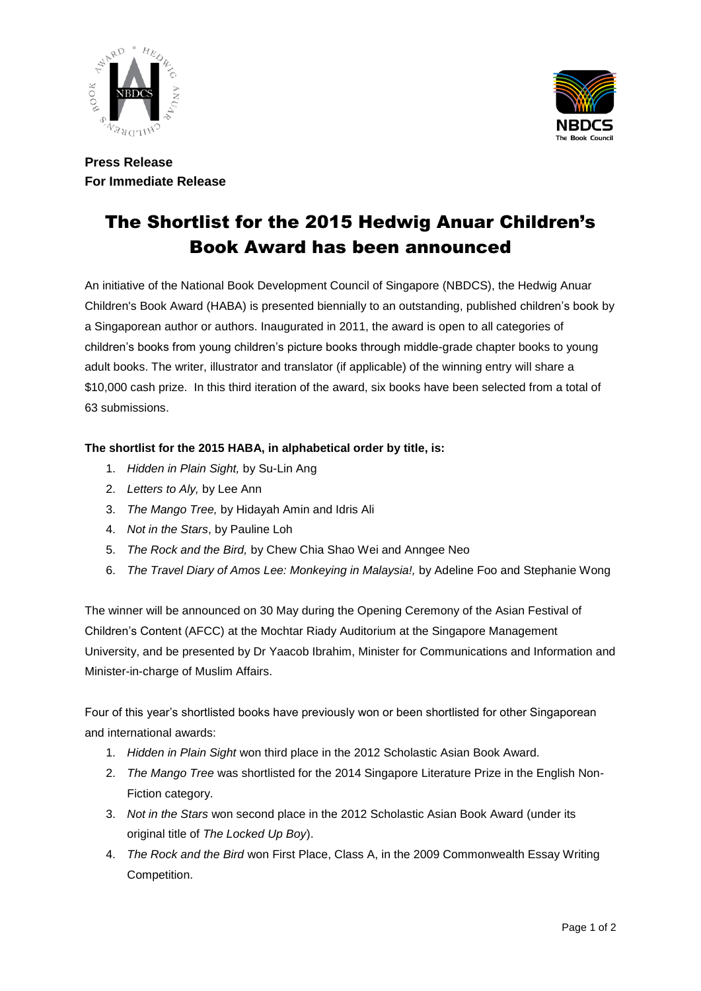



**Press Release For Immediate Release**

# The Shortlist for the 2015 Hedwig Anuar Children's Book Award has been announced

An initiative of the National Book Development Council of Singapore (NBDCS), the Hedwig Anuar Children's Book Award (HABA) is presented biennially to an outstanding, published children's book by a Singaporean author or authors. Inaugurated in 2011, the award is open to all categories of children's books from young children's picture books through middle-grade chapter books to young adult books. The writer, illustrator and translator (if applicable) of the winning entry will share a \$10,000 cash prize. In this third iteration of the award, six books have been selected from a total of 63 submissions.

#### **The shortlist for the 2015 HABA, in alphabetical order by title, is:**

- 1. *Hidden in Plain Sight,* by Su-Lin Ang
- 2. *Letters to Aly,* by Lee Ann
- 3. *The Mango Tree,* by Hidayah Amin and Idris Ali
- 4. *Not in the Stars*, by Pauline Loh
- 5. *The Rock and the Bird,* by Chew Chia Shao Wei and Anngee Neo
- 6. *The Travel Diary of Amos Lee: Monkeying in Malaysia!,* by Adeline Foo and Stephanie Wong

The winner will be announced on 30 May during the Opening Ceremony of the Asian Festival of Children's Content (AFCC) at the Mochtar Riady Auditorium at the Singapore Management University, and be presented by Dr Yaacob Ibrahim, Minister for Communications and Information and Minister-in-charge of Muslim Affairs.

Four of this year's shortlisted books have previously won or been shortlisted for other Singaporean and international awards:

- 1. *Hidden in Plain Sight* won third place in the 2012 Scholastic Asian Book Award.
- 2. *The Mango Tree* was shortlisted for the 2014 Singapore Literature Prize in the English Non-Fiction category.
- 3. *Not in the Stars* won second place in the 2012 Scholastic Asian Book Award (under its original title of *The Locked Up Boy*).
- 4. *The Rock and the Bird* won First Place, Class A, in the 2009 Commonwealth Essay Writing Competition.